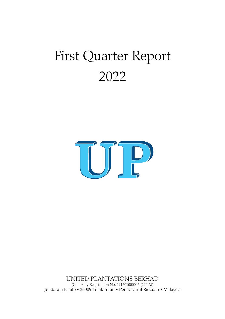# First Quarter Report 2022



UNITED PLANTATIONS BERHAD (Company Registration No. 191701000045 (240 A)) Jendarata Estate • 36009 Teluk Intan • Perak Darul Ridzuan • Malaysia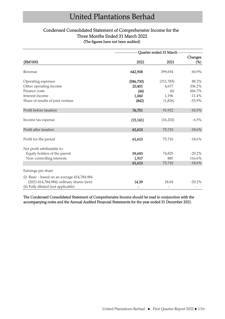# Condensed Consolidated Statement of Comprehensive Income for the Three Months Ended 31 March 2022 (The figures have not been audited)

|                                             | --------- Quarter ended 31 March ---------- |            |           |  |
|---------------------------------------------|---------------------------------------------|------------|-----------|--|
|                                             |                                             |            | Changes   |  |
| (RM'000)                                    | 2022                                        | 2021       | $(\%)$    |  |
| Revenue                                     | 642,908                                     | 399,654    | 60.9%     |  |
| Operating expenses                          | (586, 730)                                  | (311, 783) | 88.2%     |  |
| Other operating income                      | 20,401                                      | 4,677      | 336.2%    |  |
| Finance costs                               | (46)                                        | (6)        | 666.7%    |  |
| Interest income                             | 1,060                                       | 1,196      | $-11.4%$  |  |
| Share of results of joint venture           | (842)                                       | (1,826)    | $-53.9%$  |  |
| Profit before taxation                      | 76,751                                      | 91,912     | $-16.5\%$ |  |
| Income tax expense                          | (15, 141)                                   | (16,202)   | $-6.5\%$  |  |
| Profit after taxation                       | 61,610                                      | 75,710     | $-18.6%$  |  |
| Profit for the period                       | 61,610                                      | 75,710     | $-18.6%$  |  |
| Net profit attributable to:                 |                                             |            |           |  |
| Equity holders of the parent                | 59,693                                      | 74,825     | $-20.2\%$ |  |
| Non-controlling interests                   | 1,917                                       | 885        | 116.6%    |  |
|                                             | 61,610                                      | 75,710     | $-18.6%$  |  |
| Earnings per share                          |                                             |            |           |  |
| (i) Basic - based on an average 414,784,984 |                                             |            |           |  |
| (2021:414,784,984) ordinary shares (sen)    | 14.39                                       | 18.04      | $-20.2\%$ |  |
| (ii) Fully diluted (not applicable)         |                                             |            |           |  |

The Condensed Consolidated Statement of Comprehensive Income should be read in conjunction with the accompanying notes and the Annual Audited Financial Statements for the year ended 31 December 2021.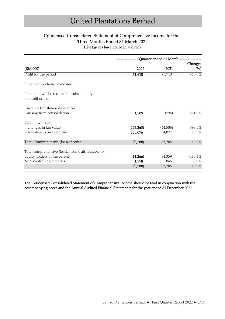# Condensed Consolidated Statement of Comprehensive Income for the Three Months Ended 31 March 2022 (The figures have not been audited)

|                                                                    | Quarter ended 31 March |          |            |
|--------------------------------------------------------------------|------------------------|----------|------------|
|                                                                    |                        |          | Changes    |
| (RM'000)                                                           | 2022                   | 2021     | $(\%)$     |
| Profit for the period                                              | 61,610                 | 75,710   | $-18.6%$   |
| Other comprehensive income:                                        |                        |          |            |
| Items that will be reclassified subsequently<br>to profit or loss: |                        |          |            |
| Currency translation differences<br>arising from consolidation     | 1,289                  | (796)    | 261.9%     |
| Cash flow hedge                                                    |                        |          |            |
| - changes in fair value                                            | (222, 263)             | (44,586) | 398.5%     |
| - transfers to profit or loss                                      | 150,076                | 54,877   | 173.5%     |
| Total Comprehensive (loss)/income                                  | (9, 288)               | 85,205   | $-110.9\%$ |
| Total comprehensive (loss)/income attributable to:                 |                        |          |            |
| Equity holders of the parent                                       | (11,266)               | 84,359   | $-113.4%$  |
| Non-controlling interests                                          | 1,978                  | 846      | 133.8%     |
|                                                                    | (9, 288)               | 85,205   | $-110.9\%$ |
|                                                                    |                        |          |            |

The Condensed Consolidated Statement of Comprehensive Income should be read in conjunction with the accompanying notes and the Annual Audited Financial Statements for the year ended 31 December 2021.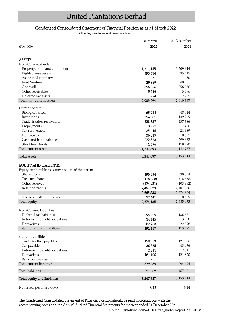## Condensed Consolidated Statement of Financial Position as at 31 March 2022 (The figures have not been audited)

|                                                                                                                                            | 31 March             | 31 December          |
|--------------------------------------------------------------------------------------------------------------------------------------------|----------------------|----------------------|
| (RM'000)                                                                                                                                   | 2022                 | 2021                 |
|                                                                                                                                            |                      |                      |
| <b>ASSETS</b>                                                                                                                              |                      |                      |
| Non-Current Assets                                                                                                                         |                      |                      |
| Property, plant and equipment                                                                                                              | 1,211,145            | 1,209,944            |
| Right-of-use assets                                                                                                                        | 395,414              | 395,415              |
| Associated company                                                                                                                         | 50                   | 50                   |
| Joint Venture                                                                                                                              | 39,359               | 40,201               |
| Goodwill                                                                                                                                   | 356,856              | 356,856              |
| Other receivables                                                                                                                          | 5,196                | 5,196                |
| Deferred tax assets                                                                                                                        | 1,774                | 2,705                |
| Total non-current assets                                                                                                                   | 2,009,794            | 2,010,367            |
| <b>Current Assets</b>                                                                                                                      |                      |                      |
|                                                                                                                                            |                      |                      |
| Biological assets                                                                                                                          | 65,714               | 48,044               |
| Inventories                                                                                                                                | 254,001              | 139,269              |
| Trade & other receivables                                                                                                                  | 628,327              | 437,386              |
| Prepayments                                                                                                                                | 3,787                | 7,420                |
| Tax recoverable                                                                                                                            | 25,446               | 21,989               |
| Derivatives                                                                                                                                | 36,519               | 10,837               |
| Cash and bank balances                                                                                                                     | 222,523              | 299,662              |
| Short term funds                                                                                                                           | 1,576                | 178,170              |
| Total current assets                                                                                                                       | 1,237,893            | 1,142,777            |
| <b>Total assets</b>                                                                                                                        | 3,247,687            | 3, 153, 144          |
| <b>EQUITY AND LIABILITIES</b><br>Equity attributable to equity holders of the parent<br>Share capital<br>Treasury shares<br>Other reserves | 390,054<br>(18, 668) | 390,054<br>(18, 668) |
|                                                                                                                                            | (174, 921)           | (103, 962)           |
| Retained profits                                                                                                                           | 2,467,073            | 2,407,380            |
|                                                                                                                                            | 2,663,538            | 2,674,804            |
| Non-controlling interests                                                                                                                  | 12,647               | 10,669               |
| Total equity                                                                                                                               | 2,676,185            | 2,685,473            |
| Non-Current Liabilities                                                                                                                    |                      |                      |
| Deferred tax liabilities                                                                                                                   | 95,209               | 136,671              |
| Retirement benefit obligations                                                                                                             | 14,145               | 13,908               |
| Derivatives                                                                                                                                | 82,763               | 22,898               |
| Total non-current liabilities                                                                                                              | 192,117              | 173,477              |
| Current Liabilities                                                                                                                        |                      |                      |
| Trade & other payables                                                                                                                     | 159,553              | 121,556              |
|                                                                                                                                            | 36,385               | 48,476               |
| Tax payable                                                                                                                                |                      |                      |
| Retirement benefit obligations<br>Derivatives                                                                                              | 2,341                | 2,341                |
|                                                                                                                                            | 181,106              | 121,820              |
| Bank borrowings<br>Total current liabilities                                                                                               | 379,385              | 1<br>294,194         |
|                                                                                                                                            |                      |                      |
| Total liabilities                                                                                                                          | 571,502              | 467,671              |
| Total equity and liabilities                                                                                                               | 3,247,687            | 3, 153, 144          |
| Net assets per share (RM)                                                                                                                  | 6.42                 | 6.44                 |

The Condensed Consolidated Statement of Financial Position should be read in conjunction with the accompanying notes and the Annual Audited Financial Statements for the year ended 31 December 2021.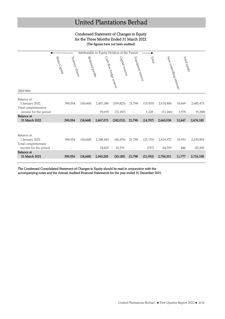### Condensed Statement of Changes in Equity for the Three Months Ended 31 March 2022 (The figures have not been audited)

| Attributable to Equity Holders of the Parent                                                      |                                  |                  |                     |                                            |                     |                    |                           |                 |                      |
|---------------------------------------------------------------------------------------------------|----------------------------------|------------------|---------------------|--------------------------------------------|---------------------|--------------------|---------------------------|-----------------|----------------------|
| (RM'000)                                                                                          | Share Capital<br>Treasury shares | Retained profits |                     | Capital reserve<br>Cash flow hedge reserve | Translation reserve | Total              | Non-controlling interests | Total equity    |                      |
|                                                                                                   |                                  |                  |                     |                                            |                     |                    |                           |                 |                      |
| Balance at<br>1 January 2022<br>Total comprehensive<br>income for the period<br><b>Balance</b> at | 390,054                          | (18, 668)        | 2,407,380<br>59,693 | (109, 825)<br>(72, 187)                    | 21,798              | (15, 935)<br>1,228 | 2,674,804<br>(11,266)     | 10,669<br>1,978 | 2,685,473<br>(9,288) |
| 31 March 2022                                                                                     | 390,054                          | (18, 668)        | 2,467,073           | (182, 012)                                 | 21,798              | (14, 707)          | 2,663,538                 | 12,647          | 2,676,185            |
| Balance at<br>1 January 2021<br>Total comprehensive                                               | 390,054                          | (18, 668)        | 2,288,440           | (40, 476)                                  | 21,798              | (21, 176)          | 2,619,972                 | 10,931          | 2,630,903            |
| income for the period                                                                             |                                  |                  | 74,825              | 10,291                                     |                     | (757)              | 84,359                    | 846             | 85,205               |
| <b>Balance</b> at<br>31 March 2021                                                                | 390,054                          | (18, 668)        | 2,363,265           | (30, 185)                                  | 21,798              | (21, 933)          | 2,704,331                 | 11,777          | 2,716,108            |

The Condensed Consolidated Statement of Changes in Equity should be read in conjunction with the

accompanying notes and the Annual Audited Financial Statements for the year ended 31 December 2021.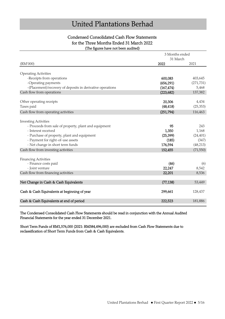## Condensed Consolidated Cash Flow Statements for the Three Months Ended 31 March 2022 (The figures have not been audited)

|                                                                                      | 3 Months ended<br>31 March |            |
|--------------------------------------------------------------------------------------|----------------------------|------------|
| (RM'000)                                                                             | 2022                       | 2021       |
| <b>Operating Activities</b>                                                          |                            |            |
| -Receipts from operations                                                            | 600,083                    | 403,645    |
| -Operating payments                                                                  | (656, 291)                 | (271, 731) |
| -(Placement)/recovery of deposits in derivative operations                           | (167, 474)                 | 5,468      |
| Cash flow from operations                                                            | (223, 682)                 | 137,382    |
|                                                                                      |                            |            |
| Other operating receipts                                                             | 20,306                     | 4,434      |
| Taxes paid                                                                           | (48, 418)                  | (25, 353)  |
| Cash flow from operating activities                                                  | (251, 794)                 | 116,463    |
|                                                                                      |                            |            |
| <b>Investing Activities</b><br>- Proceeds from sale of property, plant and equipment | 95                         | 243        |
| - Interest received                                                                  | 1,350                      | 1,168      |
| - Purchase of property, plant and equipment                                          | (25, 399)                  | (24, 401)  |
| - Payment for right-of-use assets                                                    | (185)                      | (347)      |
| - Net change in short term funds                                                     | 176,594                    | (48, 213)  |
| Cash flow from investing activities                                                  | 152,455                    | (71, 550)  |
|                                                                                      |                            |            |
| <b>Financing Activities</b>                                                          |                            |            |
| - Finance costs paid                                                                 | (46)                       | (6)        |
| - Joint venture                                                                      | 22,247                     | 8,542      |
| Cash flow from financing activities                                                  | 22,201                     | 8,536      |
| Net Change in Cash & Cash Equivalents                                                | (77, 138)                  | 53,449     |
|                                                                                      |                            |            |
| Cash & Cash Equivalents at beginning of year                                         | 299,661                    | 128,437    |
| Cash & Cash Equivalents at end of period                                             | 222,523                    | 181,886    |

The Condensed Consolidated Cash Flow Statements should be read in conjunction with the Annual Audited Financial Statements for the year ended 31 December 2021.

Short Term Funds of RM1,576,000 (2021: RM384,496,000) are excluded from Cash Flow Statements due to reclassification of Short Term Funds from Cash & Cash Equivalents.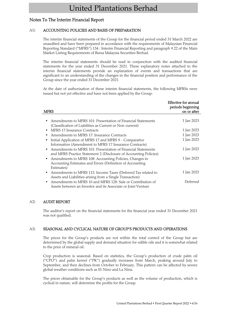# Notes To The Interim Financial Report

### A1) ACCOUNTING POLICIES AND BASIS OF PREPARATION

The interim financial statements of the Group for the financial period ended 31 March 2022 are unaudited and have been prepared in accordance with the requirements of Malaysian Financial Reporting Standard ("MFRS") 134 : Interim Financial Reporting and paragraph 9.22 of the Main Market Listing Requirements of Bursa Malaysia Securities Berhad.

The interim financial statements should be read in conjunction with the audited financial statements for the year ended 31 December 2021. These explanatory notes attached to the interim financial statements provide an explanation of events and transactions that are significant to an understanding of the changes in the financial position and performance of the Group since the year ended 31 December 2021.

At the date of authorization of these interim financial statements, the following MFRSs were issued but not yet effective and have not been applied by the Group:

| <b>MFRS</b>                                                                                                                             | Effective for annual<br>periods beginning<br>on or after |
|-----------------------------------------------------------------------------------------------------------------------------------------|----------------------------------------------------------|
|                                                                                                                                         |                                                          |
| Amendments to MFRS 101: Presentation of Financial Statements<br>(Classification of Liabilities as Current or Non-current)               | 1 Jan 2023                                               |
| MFRS 17 Insurance Contracts                                                                                                             | 1 Jan 2023                                               |
| Amendments to MFRS 17: Insurance Contracts                                                                                              | 1 Jan 2023                                               |
| Initial Application of MFRS 17 and MFRS 9 - Comparative                                                                                 | 1 Jan 2023                                               |
| Information (Amendment to MFRS 17 Insurance Contracts)                                                                                  |                                                          |
| Amendments to MFRS 101: Presentation of Financial Statements<br>and MFRS Practice Statement 2 (Disclosure of Accounting Policies)       | 1 Jan 2023                                               |
| Amendments to MFRS 108: Accounting Policies, Changes in<br>$\bullet$<br>Accounting Estimates and Errors (Definition of Accounting       | 1 Jan 2023                                               |
| Estimates)                                                                                                                              |                                                          |
| Amendments to MFRS 112: Income Taxes (Deferred Tax related to<br>$\bullet$<br>Assets and Liabilities arising from a Single Transaction) | 1 Jan 2023                                               |
| Amendments to MFRS 10 and MFRS 128: Sale or Contribution of<br>Assets between an Investor and its Associate or Joint Venture            | Deferred                                                 |

#### A2) AUDIT REPORT

The auditor's report on the financial statements for the financial year ended 31 December 2021 was not qualified.

#### A3) SEASONAL AND CYCLICAL NATURE OF GROUP'S PRODUCTS AND OPERATIONS

The prices for the Group's products are not within the total control of the Group but are determined by the global supply and demand situation for edible oils and it is somewhat related to the price of mineral oil.

Crop production is seasonal. Based on statistics, the Group's production of crude palm oil ("CPO") and palm kernel ("PK") gradually increases from March, peaking around July to September, and then declines from October to February. This pattern can be affected by severe global weather conditions such as El-Nino and La Nina.

The prices obtainable for the Group's products as well as the volume of production, which is cyclical in nature, will determine the profits for the Group.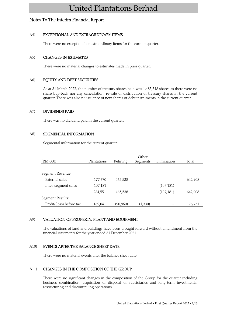# Notes To The Interim Financial Report

#### A4) EXCEPTIONAL AND EXTRAORDINARY ITEMS

There were no exceptional or extraordinary items for the current quarter.

#### A5) CHANGES IN ESTIMATES

There were no material changes to estimates made in prior quarter.

#### A6) EQUITY AND DEBT SECURITIES

As at 31 March 2022, the number of treasury shares held was 1,483,548 shares as there were no share buy-back nor any cancellation, re-sale or distribution of treasury shares in the current quarter. There was also no issuance of new shares or debt instruments in the current quarter.

#### A7) DIVIDENDS PAID

There was no dividend paid in the current quarter.

#### A8) SEGMENTAL INFORMATION

Segmental information for the current quarter:

| (RM'000)                 | Plantations | Refining | Other<br>Segments | Elimination | Total   |
|--------------------------|-------------|----------|-------------------|-------------|---------|
| Segment Revenue:         |             |          |                   |             |         |
| External sales           | 177,370     | 465,538  |                   |             | 642,908 |
| Inter-segment sales      | 107,181     |          |                   | (107, 181)  |         |
|                          | 284,551     | 465,538  |                   | (107, 181)  | 642,908 |
| Segment Results:         |             |          |                   |             |         |
| Profit/(loss) before tax | 169,041     | (90,960) | (1,330)           |             | 76,751  |

### A9) VALUATION OF PROPERTY, PLANT AND EQUIPMENT

The valuations of land and buildings have been brought forward without amendment from the financial statements for the year ended 31 December 2021.

### A10) EVENTS AFTER THE BALANCE SHEET DATE

There were no material events after the balance sheet date.

#### A11) CHANGES IN THE COMPOSITION OF THE GROUP

There were no significant changes in the composition of the Group for the quarter including business combination, acquisition or disposal of subsidiaries and long-term investments, restructuring and discontinuing operations.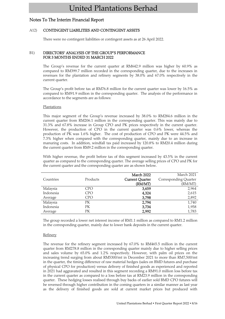## Notes To The Interim Financial Report

#### A12) CONTINGENT LIABILITIES AND CONTINGENT ASSETS

There were no contingent liabilities or contingent assets as at 26 April 2022.

#### B1) DIRECTORS' ANALYSIS OF THE GROUP'S PERFORMANCE FOR 3 MONTHS ENDED 31 MARCH 2022

The Group's revenue for the current quarter at RM642.9 million was higher by 60.9% as compared to RM399.7 million recorded in the corresponding quarter, due to the increases in revenues for the plantation and refinery segments by 38.0% and 67.0% respectively in the current quarter.

The Group's profit before tax at RM76.8 million for the current quarter was lower by 16.5% as compared to RM91.9 million in the corresponding quarter. The analysis of the performance in accordance to the segments are as follows:

#### **Plantations**

This major segment of the Group's revenue increased by 38.0% to RM284.6 million in the current quarter from RM206.1 million in the corresponding quarter. This was mainly due to 31.3% and 67.8% increase in Group CPO and PK prices respectively in the current quarter. However, the production of CPO in the current quarter was 0.6% lower, whereas the production of PK was 1.6% higher. The cost of production of CPO and PK were 44.5% and 7.3% higher when compared with the corresponding quarter, mainly due to an increase in manuring costs. In addition, windfall tax paid increased by 120.8% to RM20.4 million during the current quarter from RM9.2 million in the corresponding quarter.

With higher revenue, the profit before tax of this segment increased by 43.5% in the current quarter as compared to the corresponding quarter. The average selling prices of CPO and PK for the current quarter and the corresponding quarter are as shown below.

|           |            | March 2022             | March 2021            |
|-----------|------------|------------------------|-----------------------|
| Countries | Products   | <b>Current Quarter</b> | Corresponding Quarter |
|           |            | (RM/MT)                | (RM/MT)               |
| Malaysia  | CPO        | 3,659                  | 2,964                 |
| Indonesia | <b>CPO</b> | 4,324                  | 2,615                 |
| Average   | <b>CPO</b> | 3,798                  | 2,892                 |
| Malaysia  | PК         | 2,794                  | 1,740                 |
| Indonesia | PK.        | 3,734                  | 1,958                 |
| Average   | PК         | 2,992                  | 1,783                 |

The group recorded a lower net interest income of RM1.1 million as compared to RM1.2 million in the corresponding quarter, mainly due to lower bank deposits in the current quarter.

#### Refinery

The revenue for the refinery segment increased by 67.0% to RM465.5 million in the current quarter from RM278.8 million in the corresponding quarter mainly due to higher selling prices and sales volume by 65.0% and 1.2% respectively. However, with palm oil prices on the increasing trend surging from about RM5300/mt in December 2021 to more than RM7,500/mt in the quarter, the timing difference of raw material hedges (sales on BMD futures and purchase of physical CPO for production) versus delivery of finished goods as experienced and reported in 2021 had aggravated and resulted in this segment recording a RM91.0 million loss before tax in the current quarter as compared to a loss before tax at RM23.9 million in the corresponding quarter. These hedging losses realised through buy backs of earlier sold BMD CPO futures will be reversed through higher contribution in the coming quarters in a similar manner as last year as the delivery of finished goods are sold at current market prices but produced with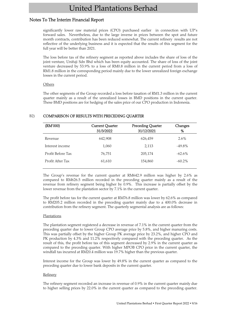# Notes To The Interim Financial Report

significantly lower raw material prices (CPO) purchased earlier in connection with UP's forward sales. Nevertheless, due to the large inverse in prices between the spot and future month contracts, contribution has been reduced somewhat. The current refinery results are not reflective of the underlying business and it is expected that the results of this segment for the full year will be better than 2021.

The loss before tax of the refinery segment as reported above includes the share of loss of the joint-venture, Unifuji Sdn Bhd which has been equity accounted. The share of loss of the joint venture decreased by 53.9% to a loss of RM0.8 million in the current period from a loss of RM1.8 million in the corresponding period mainly due to the lower unrealized foreign exchange losses in the current period.

#### **Others**

The other segments of the Group recorded a loss before taxation of RM1.3 million in the current quarter mainly as a result of the unrealized losses in BMD positions in the current quarter. These BMD positions are for hedging of the sales price of our CPO production in Indonesia.

| (RM'000)          | <b>Current Quarter</b><br>31/3/2022 | <b>Preceding Quarter</b><br>31/12/2021 | Changes<br>% |
|-------------------|-------------------------------------|----------------------------------------|--------------|
| Revenue           | 642,908                             | 626,459                                | $2.6\%$      |
| Interest income   | 1,060                               | 2,113                                  | $-49.8\%$    |
| Profit Before Tax | 76,751                              | 205,174                                | $-62.6\%$    |
| Profit After Tax  | 61,610                              | 154,860                                | $-60.2\%$    |

### B2) COMPARISON OF RESULTS WITH PRECEDING QUARTER

The Group's revenue for the current quarter at RM642.9 million was higher by 2.6% as compared to RM626.5 million recorded in the preceding quarter mainly as a result of the revenue from refinery segment being higher by 0.9%. This increase is partially offset by the lower revenue from the plantation sector by 7.1% in the current quarter.

The profit before tax for the current quarter at RM76.8 million was lower by 62.6% as compared to RM205.2 million recorded in the preceding quarter mainly due to a 400.0% decrease in contribution from the refinery segment. The quarterly segmental analysis are as follows:

#### Plantations

The plantation segment registered a decrease in revenue of 7.1% in the current quarter from the preceding quarter due to lower Group CPO average price by 5.8%, and higher manuring costs. This was partially offset by the higher Group PK average price by 23.2%, and higher CPO and PK production by 4.3% and 11.2% respectively compared with the preceding quarter. As the result of this, the profit before tax of this segment decreased by 2.9% in the current quarter as compared to the preceding quarter. With higher MPOB CPO price in the current quarter, the windfall tax incurred at RM20.4 million was 19.7% higher than the previous quarter.

Interest income for the Group was lower by 49.8% in the current quarter as compared to the preceding quarter due to lower bank deposits in the current quarter.

#### **Refinery**

The refinery segment recorded an increase in revenue of 0.9% in the current quarter mainly due to higher selling prices by 22.0% in the current quarter as compared to the preceding quarter.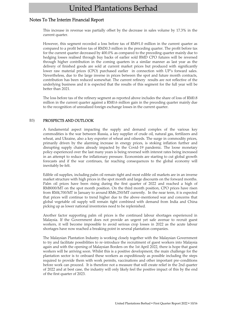# Notes To The Interim Financial Report

This increase in revenue was partially offset by the decrease in sales volume by 17.3% in the current quarter.

However, this segment recorded a loss before tax of RM91.0 million in the current quarter as compared to a profit before tax of RM30.3 million in the preceding quarter. The profit before tax for the current quarter decreased by 400.0% as compared to the preceding quarter mainly due to hedging losses realised through buy backs of earlier sold BMD CPO futures will be reversed through higher contribution in the coming quarters in a similar manner as last year as the delivery of finished goods are sold at current market prices but produced with significantly lower raw material prices (CPO) purchased earlier in connection with UP's forward sales. Nevertheless, due to the large inverse in prices between the spot and future month contracts, contribution has been reduced somewhat. The current refinery results are not reflective of the underlying business and it is expected that the results of this segment for the full year will be better than 2021.

The loss before tax of the refinery segment as reported above includes the share of loss of RM0.8 million in the current quarter against a RM0.6 million gain in the preceding quarter mainly due to the recognition of unrealized foreign exchange losses in the current quarter.

#### B3) PROSPECTS AND OUTLOOK

A fundamental aspect impacting the supply and demand complex of the various key commodities is the war between Russia, a key supplier of crude oil, natural gas, fertilizers and wheat, and Ukraine, also a key exporter of wheat and oilseeds. The surge in commodity prices, primarily driven by the alarming increase in energy prices, is stoking inflation further and disrupting supply chains already impacted by the Covid-19 pandemic. The loose monetary policy experienced over the last many years is being reversed with interest rates being increased in an attempt to reduce the inflationary pressure. Economists are starting to cut global growth forecasts and if the war continues, far reaching consequences to the global economy will inevitably be felt.

Edible oil supplies, including palm oil remain tight and most edible oil markets are in an inverse market structure with high prices in the spot month and large discounts on the forward months. Palm oil prices have been rising during the first quarter of 2022 and reached a high of RM8000/MT on the spot month position. On the third month position, CPO prices have risen from RM4,700/MT in January to around RM6,250/MT currently. In the near term, it is expected that prices will continue to trend higher due to the above-mentioned war and concerns that global vegetable oil supply will remain tight combined with demand from India and China picking up as lower national inventories need to be replenished.

Another factor supporting palm oil prices is the continued labour shortages experienced in Malaysia. If the Government does not provide an urgent yet safe avenue to recruit guest workers, it will become impossible to avoid serious crop losses in 2022 as the acute labour shortages have now reached a breaking point in several plantation companies.

The Malaysian Plantation Industry is working closely together with the Malaysian Government to try and facilitate possibilities to re-introduce the recruitment of guest workers into Malaysia again and with the opening of Malaysian Borders on the 1st April 2022, there is hope that guest workers will be arriving soon. Whilst this is a positive development, the main challenge for the plantation sector is to onboard these workers as expeditiously as possible including the steps required to provide them with work permits, vaccinations and other important pre-conditions before work can proceed. It is therefore not a measure that will create relief in the 2nd quarter of 2022 and at best case, the industry will only likely feel the positive impact of this by the end of the first quarter of 2023.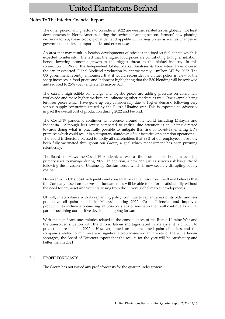### Notes To The Interim Financial Report

The other price-making factors to consider in 2022 are weather related issues globally, not least developments in North America during the soybean planting season, farmers' new planting decisions for soyabean crops, global demand appetite with rising prices as well as changes in government policies on import duties and export taxes.

An area that may result in bearish developments of prices is the food vs fuel debate which is expected to intensify. The fact that the higher food prices are contributing to higher inflation, hence, lowering economic growth is the biggest threat to the biofuel industry. In this connection OilWorld, the Independent Global Market Analyses & Forecasters, have lowered the earlier expected Global Biodiesel production by approximately 1 million MT for 2022. The US government recently announced that it would reconsider its biofuel policy in view of the sharp increases in food prices and Indonesia highlighting that the B30 blending will be reviewed and reduced to 25% (B25) and later to maybe B20.

The current high edible oil, energy and logistic prices are adding pressure on consumers worldwide and these higher markets are influencing other markets as well. One example being fertiliser prices which have gone up very considerably due to higher demand following very serious supply constraints caused by the Russia-Ukraine war. This is expected to adversely impact the overall cost of production during 2022 and beyond.

The Covid-19 pandemic continues its presence around the world including Malaysia and Indonesia. Although less severe compared to earlier, due attention is still being directed towards doing what is practically possible to mitigate this risk of Covid-19 entering UP's premises which could result in a temporary shutdown of our factories or plantation operations. The Board is therefore pleased to notify all shareholders that 99% of our employees have now been fully vaccinated throughout our Group, a goal which management has been pursuing relentlessly.

The Board still views the Covid-19 pandemic as well as the acute labour shortages as being primary risks to manage during 2022. In addition, a new and just as serious risk has surfaced following the invasion of Ukraine by Russian forces which is now severely disrupting supply chains.

However, with UP´s positive liquidity and conservative capital resources, the Board believes that the Company based on the present fundamentals will be able to perform satisfactorily without the need for any asset impairments arising from the current global market developments.

UP will, in accordance with its replanting policy, continue to replant areas of its older and less productive oil palm stands in Malaysia during 2022. Cost efficiencies and improved productivities including optimizing all possible steps of mechanization will continue as a vital part of sustaining our positive development going forward.

With the significant uncertainties related to the consequences of the Russia-Ukraine War and the unresolved situation with the chronic labour shortages faced in Malaysia, it is difficult to predict the results for 2022. However, based on the increased palm oil prices and the company's ability to minimize any significant crop losses so far in spite of the acute labour shortages, the Board of Directors expect that the results for the year will be satisfactory and better than in 2021.

#### B4) PROFIT FORECASTS

The Group has not issued any profit forecasts for the quarter under review.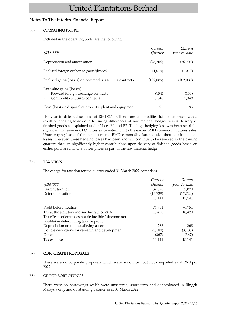# Notes To The Interim Financial Report

### B5) OPERATING PROFIT

Included in the operating profit are the following:

| (RM'000)                                                                                          | Current<br><i>Ouarter</i> | Current<br>year-to-date |
|---------------------------------------------------------------------------------------------------|---------------------------|-------------------------|
| Depreciation and amortisation                                                                     | (26, 206)                 | (26, 206)               |
| Realised foreign exchange gains/(losses)                                                          | (1,019)                   | (1,019)                 |
| Realised gains/(losses) on commodities futures contracts                                          | (182.089)                 | (182,089)               |
| Fair value gains/(losses):<br>Forward foreign exchange contracts<br>Commodities futures contracts | (154)<br>3,348            | (154)<br>3,348          |
| Gain/(loss) on disposal of property, plant and equipment                                          | 95                        | 95                      |

The year-to-date realised loss of RM182.1 million from commodities futures contracts was a result of hedging losses due to timing differences of raw material hedges versus delivery of finished goods as explained under Notes B1 and B2. The high hedging loss was because of the significant increase in CPO prices since entering into the earlier BMD commodity futures sales. Upon buying back of the earlier entered BMD commodity futures sales there are immediate losses, however, these hedging losses had been and will continue to be reversed in the coming quarters through significantly higher contributions upon delivery of finished goods based on earlier purchased CPO at lower prices as part of the raw material hedge.

#### B6) TAXATION

The charge for taxation for the quarter ended 31 March 2022 comprises:

|                                                      | Current        | Current      |
|------------------------------------------------------|----------------|--------------|
| (RM '000)                                            | <i>Ouarter</i> | year-to-date |
| Current taxation                                     | 32,870         | 32,870       |
| Deferred taxation                                    | (17, 729)      | (17, 729)    |
|                                                      | 15,141         | 15,141       |
|                                                      |                |              |
| Profit before taxation                               | 76,751         | 76,751       |
| Tax at the statutory income tax rate of 24%          | 18,420         | 18,420       |
| Tax effects of expenses not deductible / (income not |                |              |
| taxable) in determining taxable profit:              |                |              |
| Depreciation on non-qualifying assets                | 268            | 268          |
| Double deductions for research and development       | (3,180)        | (3,180)      |
| Others                                               | (367)          | (367)        |
| Tax expense                                          | 15,141         | 15,141       |

#### B7) CORPORATE PROPOSALS

There were no corporate proposals which were announced but not completed as at 26 April 2022.

#### B8) GROUP BORROWINGS

There were no borrowings which were unsecured, short term and denominated in Ringgit Malaysia only and outstanding balance as at 31 March 2022.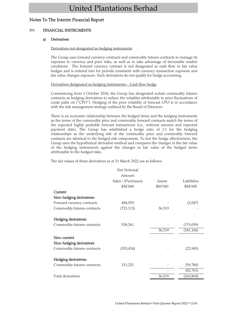# Notes To The Interim Financial Report

### B9) FINANCIAL INSTRUMENTS

### a) Derivatives

#### Derivatives not designated as hedging instruments

The Group uses forward currency contracts and commodity futures contracts to manage its exposure to currency and price risks, as well as to take advantage of favourable market conditions. The forward currency contract is not designated as cash flow or fair value hedges and is entered into for periods consistent with currency transaction exposure and fair value changes exposure. Such derivatives do not qualify for hedge accounting.

#### Derivatives designated as hedging instruments – Cash flow hedge

Commencing from 1 October 2018, the Group has designated certain commodity futures contracts as hedging derivatives to reduce the volatility attributable to price fluctuations of crude palm oil ("CPO"). Hedging of the price volatility of forecast CPO is in accordance with the risk management strategy outlined by the Board of Directors.

There is an economic relationship between the hedged items and the hedging instruments as the terms of the commodity price and commodity forward contracts match the terms of the expected highly probable forecast transactions (i.e., notional amount and expected payment date). The Group has established a hedge ratio of 1:1 for the hedging relationships as the underlying risk of the commodity price and commodity forward contracts are identical to the hedged risk components. To test the hedge effectiveness, the Group uses the hypothetical derivative method and compares the changes in the fair value of the hedging instruments against the changes in fair value of the hedged items attributable to the hedged risks.

The fair values of these derivatives as at 31 March 2022 are as follows:

|                             | Net Notional        |               |             |
|-----------------------------|---------------------|---------------|-------------|
|                             | Amount              |               |             |
|                             | Sales / (Purchases) | Assets        | Liabilities |
|                             | <b>RM'000</b>       | <b>RM'000</b> | RM'000      |
| Current                     |                     |               |             |
| Non-hedging derivatives:    |                     |               |             |
| Forward currency contracts  | 484,559             |               | (2,047)     |
| Commodity futures contracts | (721, 113)          | 36,519        |             |
| Hedging derivatives:        |                     |               |             |
| Commodity futures contracts | 538,261             |               | (179,059)   |
|                             |                     | 36,519        | (181, 106)  |
| Non-current                 |                     |               |             |
| Non-hedging derivatives:    |                     |               |             |
| Commodity futures contracts | (353, 434)          |               | (22, 983)   |
| Hedging derivatives:        |                     |               |             |
| Commodity futures contracts | 311,221             |               | (59, 780)   |
|                             |                     |               | (82, 763)   |
| Total derivatives           |                     | 36,519        | (263, 869)  |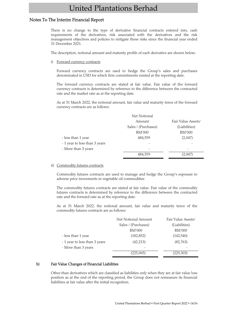### Notes To The Interim Financial Report

There is no change to the type of derivative financial contracts entered into, cash requirements of the derivatives, risk associated with the derivatives and the risk management objectives and policies to mitigate these risks since the financial year ended 31 December 2021.

The description, notional amount and maturity profile of each derivative are shown below:

i) Forward currency contracts

Forward currency contracts are used to hedge the Group's sales and purchases denominated in USD for which firm commitments existed at the reporting date.

The forward currency contracts are stated at fair value. Fair value of the forward currency contracts is determined by reference to the difference between the contracted rate and the market rate as at the reporting date.

As at 31 March 2022, the notional amount, fair value and maturity tenor of the forward currency contracts are as follows:

|                               | Net Notional        |                    |
|-------------------------------|---------------------|--------------------|
|                               | Amount              | Fair Value Assets/ |
|                               | Sales / (Purchases) | (Liabilities)      |
|                               | RM'000              | RM'000             |
| - less than 1 year            | 484,559             | (2,047)            |
| - 1 year to less than 3 years |                     |                    |
| - More than 3 years           |                     |                    |
|                               | 484,559             | (2.047)            |
|                               |                     |                    |

#### ii) Commodity futures contracts

Commodity futures contracts are used to manage and hedge the Group's exposure to adverse price movements in vegetable oil commodities

The commodity futures contracts are stated at fair value. Fair value of the commodity futures contracts is determined by reference to the difference between the contracted rate and the forward rate as at the reporting date.

As at 31 March 2022, the notional amount, fair value and maturity tenor of the commodity futures contracts are as follows:

|                               | Net Notional Amount | Fair Value Assets/ |
|-------------------------------|---------------------|--------------------|
|                               | Sales / (Purchases) | (Liabilities)      |
|                               | RM'000              | RM'000             |
| - less than 1 year            | (182, 852)          | (142, 540)         |
| - 1 year to less than 3 years | (42, 213)           | (82, 763)          |
| - More than 3 years           |                     |                    |
|                               | (225,065)           | (225, 303)         |

#### b) Fair Value Changes of Financial Liabilities

Other than derivatives which are classified as liabilities only when they are at fair value loss position as at the end of the reporting period, the Group does not remeasure its financial liabilities at fair value after the initial recognition.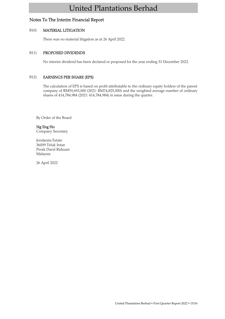# Notes To The Interim Financial Report

### B10) MATERIAL LITIGATION

There was no material litigation as at 26 April 2022.

### B11) PROPOSED DIVIDENDS

No interim dividend has been declared or proposed for the year ending 31 December 2022.

### B12) EARNINGS PER SHARE (EPS)

The calculation of EPS is based on profit attributable to the ordinary equity holders of the parent company of RM59,693,000 (2021: RM74,825,000) and the weighted average number of ordinary shares of 414,784,984 (2021: 414,784,984) in issue during the quarter.

By Order of the Board

### Ng Eng Ho

Company Secretary

Jendarata Estate 36009 Teluk Intan Perak Darul Ridzuan Malaysia

26 April 2022